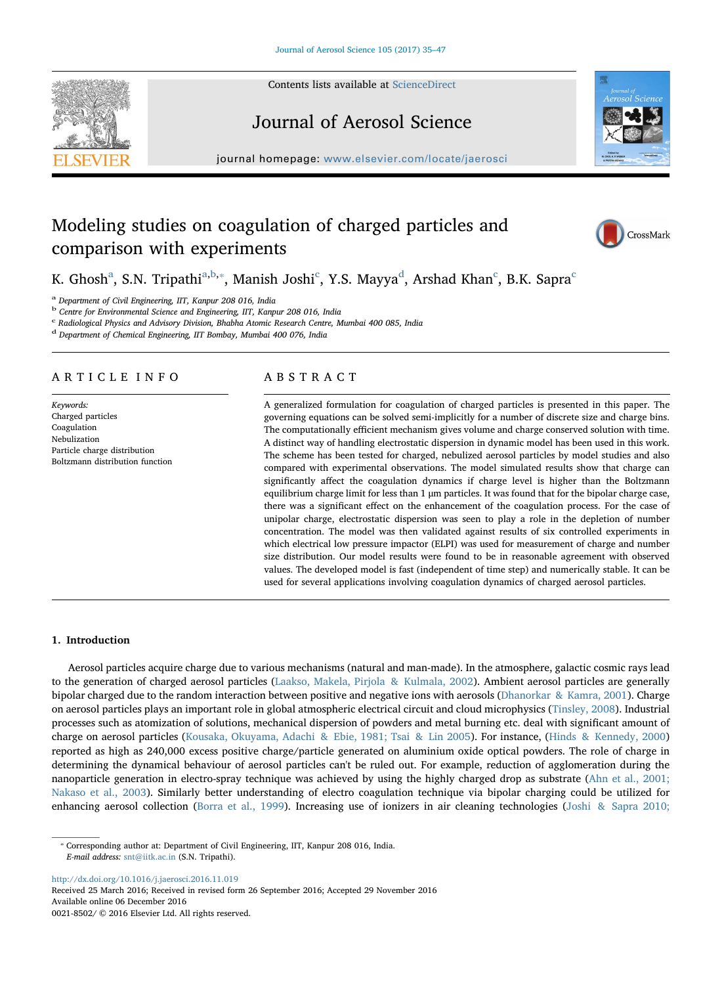Contents lists available at ScienceDirect





# Journal of Aerosol Science

journal homepage: www.elsevier.com/locate/jaerosci

# Modeling studies on coagulation of charged particles and comparison with experiments



K. Ghosh<sup>a</sup>, S.N. Tripathi<sup>a,b,\*</sup>, Manish Joshi<sup>c</sup>, Y.S. Mayya<sup>d</sup>, Arshad Khan<sup>c</sup>, B.K. Sapra<sup>c</sup>

<sup>a</sup> Department of Civil Engineering, IIT, Kanpur 208 016, India

<sup>b</sup> Centre for Environmental Science and Engineering, IIT, Kanpur 208 016, India

<sup>c</sup> Radiological Physics and Advisory Division, Bhabha Atomic Research Centre, Mumbai 400 085, India

<sup>d</sup> Department of Chemical Engineering, IIT Bombay, Mumbai 400 076, India

# ARTICLE INFO

Keywords: Charged particles Coagulation Nebulization Particle charge distribution Boltzmann distribution function

# ABSTRACT

A generalized formulation for coagulation of charged particles is presented in this paper. The governing equations can be solved semi-implicitly for a number of discrete size and charge bins. The computationally efficient mechanism gives volume and charge conserved solution with time. A distinct way of handling electrostatic dispersion in dynamic model has been used in this work. The scheme has been tested for charged, nebulized aerosol particles by model studies and also compared with experimental observations. The model simulated results show that charge can significantly affect the coagulation dynamics if charge level is higher than the Boltzmann equilibrium charge limit for less than 1 μm particles. It was found that for the bipolar charge case, there was a significant effect on the enhancement of the coagulation process. For the case of unipolar charge, electrostatic dispersion was seen to play a role in the depletion of number concentration. The model was then validated against results of six controlled experiments in which electrical low pressure impactor (ELPI) was used for measurement of charge and number size distribution. Our model results were found to be in reasonable agreement with observed values. The developed model is fast (independent of time step) and numerically stable. It can be used for several applications involving coagulation dynamics of charged aerosol particles.

# 1. Introduction

Aerosol particles acquire charge due to various mechanisms (natural and man-made). In the atmosphere, galactic cosmic rays lead to the generation of charged aerosol particles (Laakso, Makela, Pirjola & Kulmala, 2002). Ambient aerosol particles are generally bipolar charged due to the random interaction between positive and negative ions with aerosols (Dhanorkar & Kamra, 2001). Charge on aerosol particles plays an important role in global atmospheric electrical circuit and cloud microphysics (Tinsley, 2008). Industrial processes such as atomization of solutions, mechanical dispersion of powders and metal burning etc. deal with significant amount of charge on aerosol particles (Kousaka, Okuyama, Adachi & Ebie, 1981; Tsai & Lin 2005). For instance, (Hinds & Kennedy, 2000) reported as high as 240,000 excess positive charge/particle generated on aluminium oxide optical powders. The role of charge in determining the dynamical behaviour of aerosol particles can't be ruled out. For example, reduction of agglomeration during the nanoparticle generation in electro-spray technique was achieved by using the highly charged drop as substrate (Ahn et al., 2001; Nakaso et al., 2003). Similarly better understanding of electro coagulation technique via bipolar charging could be utilized for enhancing aerosol collection (Borra et al., 1999). Increasing use of ionizers in air cleaning technologies (Joshi & Sapra 2010;

⁎ Corresponding author at: Department of Civil Engineering, IIT, Kanpur 208 016, India. E-mail address: snt@iitk.ac.in (S.N. Tripathi).

http://dx.doi.org/10.1016/j.jaerosci.2016.11.019

Received 25 March 2016; Received in revised form 26 September 2016; Accepted 29 November 2016 Available online 06 December 2016 0021-8502/ © 2016 Elsevier Ltd. All rights reserved.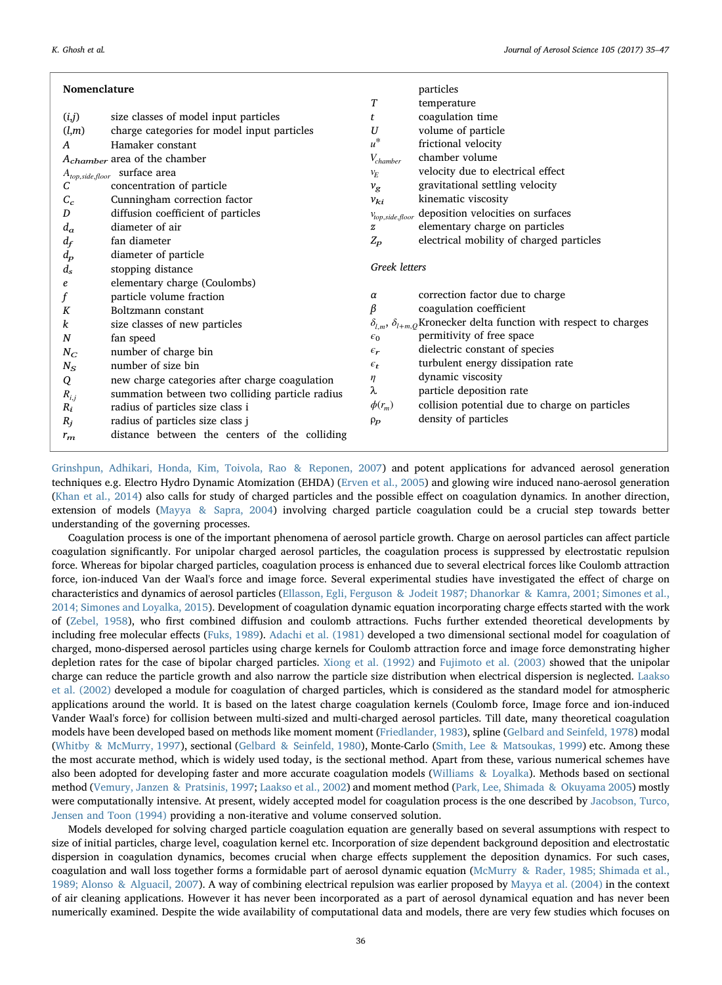| Nomenclature                             |                                                  |                      | particles                                                                        |
|------------------------------------------|--------------------------------------------------|----------------------|----------------------------------------------------------------------------------|
|                                          |                                                  | T                    | temperature                                                                      |
| (i,j)                                    | size classes of model input particles            | t                    | coagulation time                                                                 |
| (l,m)                                    | charge categories for model input particles      | U                    | volume of particle                                                               |
| A                                        | Hamaker constant                                 | $u^*$                | frictional velocity                                                              |
| A <sub>chamber</sub> area of the chamber |                                                  | $V_{chamber}$        | chamber volume                                                                   |
|                                          | $A_{top,side,floor} \hspace{0.2cm}$ surface area | $v_E$                | velocity due to electrical effect                                                |
| С                                        | concentration of particle                        | $v_{\rm g}$          | gravitational settling velocity                                                  |
| $C_c$                                    | Cunningham correction factor                     | $v_{ki}$             | kinematic viscosity                                                              |
| D                                        | diffusion coefficient of particles               | $V_{top,side,floor}$ | deposition velocities on surfaces                                                |
| $d_a$                                    | diameter of air                                  | $\boldsymbol{z}$     | elementary charge on particles                                                   |
| $d_f$                                    | fan diameter                                     | $Z_p$                | electrical mobility of charged particles                                         |
| $d_{p}$                                  | diameter of particle                             |                      |                                                                                  |
| $d_s$                                    | stopping distance                                | <b>Greek</b> letters |                                                                                  |
| e                                        | elementary charge (Coulombs)                     |                      |                                                                                  |
|                                          | particle volume fraction                         | $\alpha$             | correction factor due to charge                                                  |
| K                                        | Boltzmann constant                               | β                    | coagulation coefficient                                                          |
| k                                        | size classes of new particles                    |                      | $\delta_{l,m},\,\delta_{l+m,Q}$ Kronecker delta function with respect to charges |
| $\boldsymbol{N}$                         | fan speed                                        | $\epsilon_0$         | permitivity of free space                                                        |
| $N_C$                                    | number of charge bin                             | $\epsilon_r$         | dielectric constant of species                                                   |
| $N_S$                                    | number of size bin                               | $\epsilon_{t}$       | turbulent energy dissipation rate                                                |
| Q                                        | new charge categories after charge coagulation   | η                    | dynamic viscosity                                                                |
| $R_{i,j}$                                | summation between two colliding particle radius  | λ                    | particle deposition rate                                                         |
| $R_i$                                    | radius of particles size class i                 | $\phi(r_m)$          | collision potential due to charge on particles                                   |
| $R_i$                                    | radius of particles size class j                 | $\rho_P$             | density of particles                                                             |
| $r_m$                                    | distance between the centers of the colliding    |                      |                                                                                  |

Grinshpun, Adhikari, Honda, Kim, Toivola, Rao & Reponen, 2007) and potent applications for advanced aerosol generation techniques e.g. Electro Hydro Dynamic Atomization (EHDA) (Erven et al., 2005) and glowing wire induced nano-aerosol generation (Khan et al., 2014) also calls for study of charged particles and the possible effect on coagulation dynamics. In another direction, extension of models (Mayya & Sapra, 2004) involving charged particle coagulation could be a crucial step towards better understanding of the governing processes.

Coagulation process is one of the important phenomena of aerosol particle growth. Charge on aerosol particles can affect particle coagulation significantly. For unipolar charged aerosol particles, the coagulation process is suppressed by electrostatic repulsion force. Whereas for bipolar charged particles, coagulation process is enhanced due to several electrical forces like Coulomb attraction force, ion-induced Van der Waal's force and image force. Several experimental studies have investigated the effect of charge on characteristics and dynamics of aerosol particles (Ellasson, Egli, Ferguson & Jodeit 1987; Dhanorkar & Kamra, 2001; Simones et al., 2014; Simones and Loyalka, 2015). Development of coagulation dynamic equation incorporating charge effects started with the work of (Zebel, 1958), who first combined diffusion and coulomb attractions. Fuchs further extended theoretical developments by including free molecular effects (Fuks, 1989). Adachi et al. (1981) developed a two dimensional sectional model for coagulation of charged, mono-dispersed aerosol particles using charge kernels for Coulomb attraction force and image force demonstrating higher depletion rates for the case of bipolar charged particles. Xiong et al. (1992) and Fujimoto et al. (2003) showed that the unipolar charge can reduce the particle growth and also narrow the particle size distribution when electrical dispersion is neglected. Laakso et al. (2002) developed a module for coagulation of charged particles, which is considered as the standard model for atmospheric applications around the world. It is based on the latest charge coagulation kernels (Coulomb force, Image force and ion-induced Vander Waal's force) for collision between multi-sized and multi-charged aerosol particles. Till date, many theoretical coagulation models have been developed based on methods like moment moment (Friedlander, 1983), spline (Gelbard and Seinfeld, 1978) modal (Whitby & McMurry, 1997), sectional (Gelbard & Seinfeld, 1980), Monte-Carlo (Smith, Lee & Matsoukas, 1999) etc. Among these the most accurate method, which is widely used today, is the sectional method. Apart from these, various numerical schemes have also been adopted for developing faster and more accurate coagulation models (Williams & Loyalka). Methods based on sectional method (Vemury, Janzen & Pratsinis, 1997; Laakso et al., 2002) and moment method (Park, Lee, Shimada & Okuyama 2005) mostly were computationally intensive. At present, widely accepted model for coagulation process is the one described by Jacobson, Turco, Jensen and Toon (1994) providing a non-iterative and volume conserved solution.

Models developed for solving charged particle coagulation equation are generally based on several assumptions with respect to size of initial particles, charge level, coagulation kernel etc. Incorporation of size dependent background deposition and electrostatic dispersion in coagulation dynamics, becomes crucial when charge effects supplement the deposition dynamics. For such cases, coagulation and wall loss together forms a formidable part of aerosol dynamic equation (McMurry & Rader, 1985; Shimada et al., 1989; Alonso & Alguacil, 2007). A way of combining electrical repulsion was earlier proposed by Mayya et al. (2004) in the context of air cleaning applications. However it has never been incorporated as a part of aerosol dynamical equation and has never been numerically examined. Despite the wide availability of computational data and models, there are very few studies which focuses on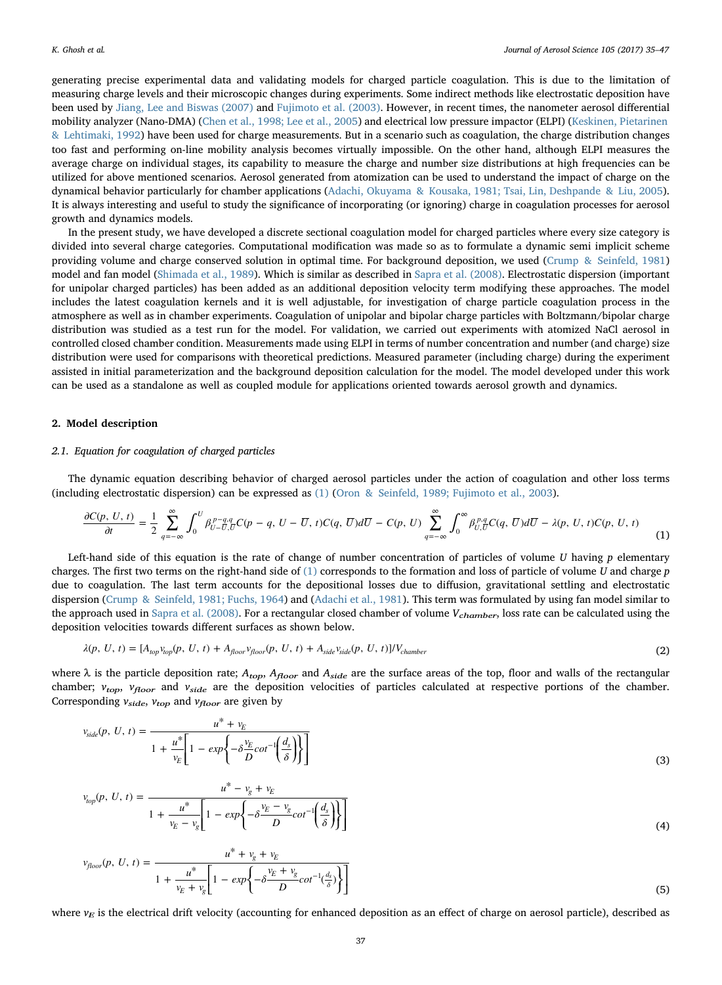generating precise experimental data and validating models for charged particle coagulation. This is due to the limitation of measuring charge levels and their microscopic changes during experiments. Some indirect methods like electrostatic deposition have been used by Jiang, Lee and Biswas (2007) and Fujimoto et al. (2003). However, in recent times, the nanometer aerosol differential mobility analyzer (Nano-DMA) (Chen et al., 1998; Lee et al., 2005) and electrical low pressure impactor (ELPI) (Keskinen, Pietarinen & Lehtimaki, 1992) have been used for charge measurements. But in a scenario such as coagulation, the charge distribution changes too fast and performing on-line mobility analysis becomes virtually impossible. On the other hand, although ELPI measures the average charge on individual stages, its capability to measure the charge and number size distributions at high frequencies can be utilized for above mentioned scenarios. Aerosol generated from atomization can be used to understand the impact of charge on the dynamical behavior particularly for chamber applications (Adachi, Okuyama & Kousaka, 1981; Tsai, Lin, Deshpande & Liu, 2005). It is always interesting and useful to study the significance of incorporating (or ignoring) charge in coagulation processes for aerosol growth and dynamics models.

In the present study, we have developed a discrete sectional coagulation model for charged particles where every size category is divided into several charge categories. Computational modification was made so as to formulate a dynamic semi implicit scheme providing volume and charge conserved solution in optimal time. For background deposition, we used (Crump & Seinfeld, 1981) model and fan model (Shimada et al., 1989). Which is similar as described in Sapra et al. (2008). Electrostatic dispersion (important for unipolar charged particles) has been added as an additional deposition velocity term modifying these approaches. The model includes the latest coagulation kernels and it is well adjustable, for investigation of charge particle coagulation process in the atmosphere as well as in chamber experiments. Coagulation of unipolar and bipolar charge particles with Boltzmann/bipolar charge distribution was studied as a test run for the model. For validation, we carried out experiments with atomized NaCl aerosol in controlled closed chamber condition. Measurements made using ELPI in terms of number concentration and number (and charge) size distribution were used for comparisons with theoretical predictions. Measured parameter (including charge) during the experiment assisted in initial parameterization and the background deposition calculation for the model. The model developed under this work can be used as a standalone as well as coupled module for applications oriented towards aerosol growth and dynamics.

#### 2. Model description

#### 2.1. Equation for coagulation of charged particles

The dynamic equation describing behavior of charged aerosol particles under the action of coagulation and other loss terms (including electrostatic dispersion) can be expressed as (1) (Oron & Seinfeld, 1989; Fujimoto et al., 2003).

$$
\frac{\partial C(p, U, t)}{\partial t} = \frac{1}{2} \sum_{q=-\infty}^{\infty} \int_{0}^{U} \beta_{U-\overline{U},\overline{U}}^{p-q,q} C(p-q, U-\overline{U}, t) C(q, \overline{U}) d\overline{U} - C(p, U) \sum_{q=-\infty}^{\infty} \int_{0}^{\infty} \beta_{U,\overline{U}}^{p,q} C(q, \overline{U}) d\overline{U} - \lambda(p, U, t) C(p, U, t) \tag{1}
$$

Left-hand side of this equation is the rate of change of number concentration of particles of volume  $U$  having  $p$  elementary charges. The first two terms on the right-hand side of (1) corresponds to the formation and loss of particle of volume U and charge p due to coagulation. The last term accounts for the depositional losses due to diffusion, gravitational settling and electrostatic dispersion (Crump & Seinfeld, 1981; Fuchs, 1964) and (Adachi et al., 1981). This term was formulated by using fan model similar to the approach used in Sapra et al. (2008). For a rectangular closed chamber of volume  $V_{chamber}$  loss rate can be calculated using the deposition velocities towards different surfaces as shown below.

$$
\lambda(p, U, t) = [A_{top}v_{top}(p, U, t) + A_{floor}(p, U, t) + A_{side}v_{side}(p, U, t)]/V_{chamber}
$$
\n(2)

where  $\lambda$  is the particle deposition rate;  $A_{top}$ ,  $A_{floor}$  and  $A_{side}$  are the surface areas of the top, floor and walls of the rectangular chamber;  $v_{top}$ ,  $v_{floor}$  and  $v_{side}$  are the deposition velocities of particles calculated at respective portions of the chamber. Corresponding  $v_{side}$ ,  $v_{top}$  and  $v_{floor}$  are given by

$$
v_{side}(p, U, t) = \frac{u^* + v_E}{1 + \frac{u^*}{v_E} \left[1 - exp\left\{-\frac{v_E}{D}cot^{-1}\left(\frac{d_s}{\delta}\right)\right\}\right]}
$$
(3)

$$
v_{top}(p, U, t) = \frac{u^* - v_g + v_E}{1 + \frac{u^*}{v_E - v_g} \left[ 1 - exp\left\{-\delta \frac{v_E - v_g}{D} cot^{-1} \left(\frac{d_s}{\delta}\right) \right\} \right]}
$$
(4)  

$$
v_{floor}(p, U, t) = \frac{u^* + v_g + v_E}{1 + \frac{u^*}{v_E + v_g} \left[ 1 - exp\left\{-\delta \frac{v_E + v_g}{D} cot^{-1} \left(\frac{d_s}{\delta}\right) \right\} \right]}
$$
(5)

where  $v_E$  is the electrical drift velocity (accounting for enhanced deposition as an effect of charge on aerosol particle), described as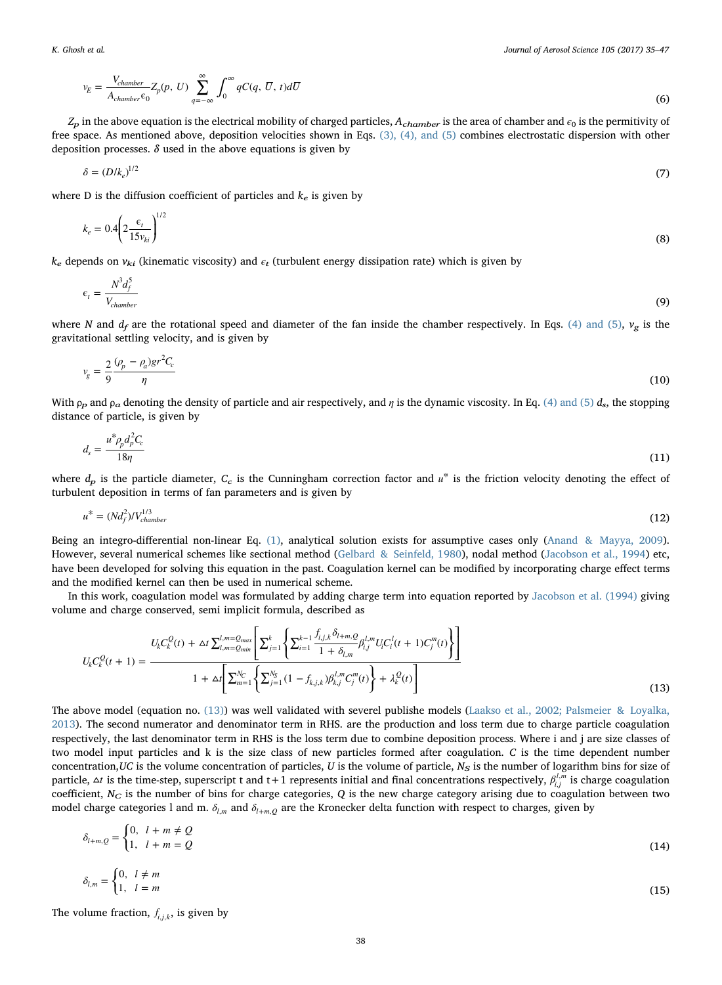$$
v_E = \frac{V_{chamber}}{A_{chamber} \epsilon_0} Z_p(p, U) \sum_{q = -\infty}^{\infty} \int_0^{\infty} qC(q, \overline{U}, t) d\overline{U}
$$
(6)

 $Z_p$  in the above equation is the electrical mobility of charged particles,  $A_{chamber}$  is the area of chamber and  $\epsilon_0$  is the permitivity of free space. As mentioned above, deposition velocities shown in Eqs. (3), (4), and (5) combines electrostatic dispersion with other deposition processes.  $\delta$  used in the above equations is given by

$$
\delta = (D/k_e)^{1/2} \tag{7}
$$

where D is the diffusion coefficient of particles and  $k_e$  is given by

$$
k_e = 0.4 \left( 2 \frac{\epsilon_t}{15 v_{ki}} \right)^{1/2} \tag{8}
$$

 $k_e$  depends on  $v_{ki}$  (kinematic viscosity) and  $\epsilon_t$  (turbulent energy dissipation rate) which is given by

$$
\epsilon_t = \frac{N^3 d_f^5}{V_{chamber}} \tag{9}
$$

where N and  $d_f$  are the rotational speed and diameter of the fan inside the chamber respectively. In Eqs. (4) and (5),  $v_g$  is the gravitational settling velocity, and is given by

$$
v_g = \frac{2}{9} \frac{(\rho_p - \rho_a) gr^2 C_c}{\eta}
$$
\n<sup>(10)</sup>

With  $\rho_p$  and  $\rho_a$  denoting the density of particle and air respectively, and  $\eta$  is the dynamic viscosity. In Eq. (4) and (5)  $d_s$ , the stopping distance of particle, is given by

$$
d_s = \frac{u^* \rho_p d_p^2 C_c}{18\eta} \tag{11}
$$

where  $d<sub>p</sub>$  is the particle diameter,  $C<sub>c</sub>$  is the Cunningham correction factor and  $u<sup>*</sup>$  is the friction velocity denoting the effect of turbulent deposition in terms of fan parameters and is given by

$$
u^* = (Nd_f^2)/V_{chamber}^{1/3}
$$
 (12)

Being an integro-differential non-linear Eq. (1), analytical solution exists for assumptive cases only (Anand & Mayya, 2009). However, several numerical schemes like sectional method (Gelbard & Seinfeld, 1980), nodal method (Jacobson et al., 1994) etc, have been developed for solving this equation in the past. Coagulation kernel can be modified by incorporating charge effect terms and the modified kernel can then be used in numerical scheme.

In this work, coagulation model was formulated by adding charge term into equation reported by Jacobson et al. (1994) giving volume and charge conserved, semi implicit formula, described as

$$
U_{k}C_{k}^{Q}(t+1) = \frac{U_{k}C_{k}^{Q}(t) + \Delta t \sum_{l,m=Q_{min}}^{l,m=Q_{max}} \left[ \sum_{j=1}^{k} \left\{ \sum_{i=1}^{k-1} \frac{f_{i,j,k} \delta_{l+m,Q}}{1 + \delta_{l,m}} \beta_{i,j}^{l,m} U_{i} C_{i}^{l}(t+1) C_{j}^{m}(t) \right\} \right]}{1 + \Delta t \left[ \sum_{m=1}^{N_{C}} \left\{ \sum_{j=1}^{N_{S}} \left( 1 - f_{k,j,k} \right) \beta_{k,j}^{l,m} C_{j}^{m}(t) \right\} + \lambda_{k}^{Q}(t) \right]}
$$
(13)

The above model (equation no. (13)) was well validated with severel publishe models (Laakso et al., 2002; Palsmeier & Loyalka, 2013). The second numerator and denominator term in RHS. are the production and loss term due to charge particle coagulation respectively, the last denominator term in RHS is the loss term due to combine deposition process. Where i and j are size classes of two model input particles and k is the size class of new particles formed after coagulation. C is the time dependent number concentration, UC is the volume concentration of particles, U is the volume of particle,  $N_S$  is the number of logarithm bins for size of particle,  $\Delta t$  is the time-step, superscript t and t+1 represents initial and final concentrations respectively,  $\beta_{i,j}^{l,m}$  is charge coagulation coefficient,  $N_C$  is the number of bins for charge categories, Q is the new charge category arising due to coagulation between two model charge categories l and m.  $δ_{l,m}$  and  $δ_{l+m,Q}$  are the Kronecker delta function with respect to charges, given by

$$
\delta_{l+m,Q} = \begin{cases} 0, & l+m \neq Q \\ 1, & l+m = Q \end{cases}
$$
\n
$$
\delta_{l,m} = \begin{cases} 0, & l \neq m \\ 1, & l=m \end{cases}
$$
\n(14)

The volume fraction,  $f_{i,j,k}$ , is given by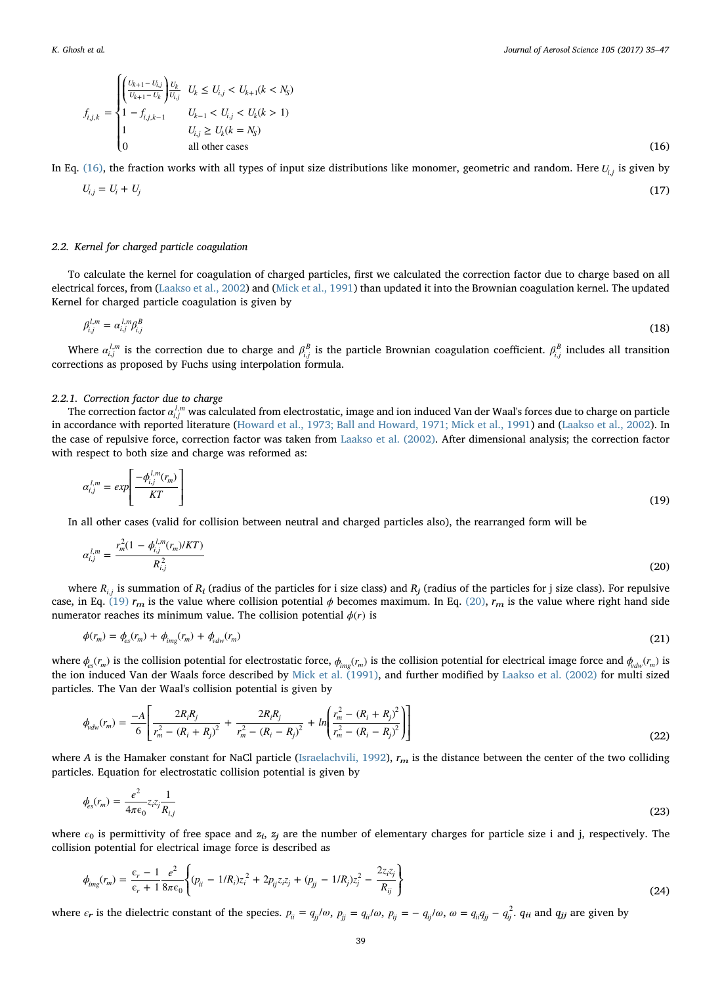$$
f_{i,j,k} = \begin{cases} \left(\frac{U_{k+1} - U_{i,j}}{U_{k+1} - U_k}\right) U_k & U_k \le U_{i,j} < U_{k+1}(k < N_S) \\ 1 - f_{i,j,k-1} & U_{k-1} < U_{i,j} < U_k(k > 1) \\ 1 & U_{i,j} \ge U_k(k = N_S) \\ 0 & \text{all other cases} \end{cases} \tag{16}
$$

In Eq. (16), the fraction works with all types of input size distributions like monomer, geometric and random. Here  $U_i$ , is given by

$$
U_{i,j} = U_i + U_j \tag{17}
$$

## 2.2. Kernel for charged particle coagulation

To calculate the kernel for coagulation of charged particles, first we calculated the correction factor due to charge based on all electrical forces, from (Laakso et al., 2002) and (Mick et al., 1991) than updated it into the Brownian coagulation kernel. The updated Kernel for charged particle coagulation is given by

$$
\beta_{i,j}^{l,m} = \alpha_{i,j}^{l,m} \beta_{i,j}^B \tag{18}
$$

Where  $\alpha_{i,j}^{l,m}$  is the correction due to charge and  $\beta_{i,j}^B$  is the particle Brownian coagulation coefficient.  $\beta_{i,j}^B$  includes all transition corrections as proposed by Fuchs using interpolation formula.

## 2.2.1. Correction factor due to charge

The correction factor  $\alpha_{i,j}^{l,m}$  was calculated from electrostatic, image and ion induced Van der Waal's forces due to charge on particle in accordance with reported literature (Howard et al., 1973; Ball and Howard, 1971; Mick et al., 1991) and (Laakso et al., 2002). In the case of repulsive force, correction factor was taken from Laakso et al. (2002). After dimensional analysis; the correction factor with respect to both size and charge was reformed as:

$$
\alpha_{i,j}^{l,m} = exp\left[\frac{-\phi_{i,j}^{l,m}(r_m)}{KT}\right]
$$
\n(19)

In all other cases (valid for collision between neutral and charged particles also), the rearranged form will be

$$
\alpha_{i,j}^{l,m} = \frac{r_m^{2}(1 - \phi_{i,j}^{l,m}(r_m)/KT)}{R_{i,j}^{2}}
$$
\n(20)

where  $R_{i,j}$  is summation of  $R_i$  (radius of the particles for i size class) and  $R_j$  (radius of the particles for j size class). For repulsive case, in Eq. (19)  $r_m$  is the value where collision potential  $\phi$  becomes maximum. In Eq. (20),  $r_m$  is the value where right hand side numerator reaches its minimum value. The collision potential  $\phi(r)$  is

$$
\phi(r_m) = \phi_{\rm es}(r_m) + \phi_{\rm img}(r_m) + \phi_{\rm vdw}(r_m) \tag{21}
$$

where  $\phi_{es}(r_m)$  is the collision potential for electrostatic force,  $\phi_{img}(r_m)$  is the collision potential for electrical image force and  $\phi_{vdw}(r_m)$  is the ion induced Van der Waals force described by Mick et al. (1991), and further modified by Laakso et al. (2002) for multi sized particles. The Van der Waal's collision potential is given by

$$
\phi_{\text{vdw}}(r_m) = \frac{-A}{6} \left[ \frac{2R_i R_j}{r_m^2 - (R_i + R_j)^2} + \frac{2R_i R_j}{r_m^2 - (R_i - R_j)^2} + \ln \left( \frac{r_m^2 - (R_i + R_j)^2}{r_m^2 - (R_i - R_j)^2} \right) \right]
$$
(22)

where A is the Hamaker constant for NaCl particle (Israelachvili, 1992),  $r_m$  is the distance between the center of the two colliding particles. Equation for electrostatic collision potential is given by

$$
\phi_{es}(r_m) = \frac{e^2}{4\pi\epsilon_0} z_i z_j \frac{1}{R_{i,j}}
$$
\n(23)

where  $\epsilon_0$  is permittivity of free space and  $z_i$ ,  $z_j$  are the number of elementary charges for particle size i and j, respectively. The collision potential for electrical image force is described as

$$
\phi_{img}(r_m) = \frac{\epsilon_r - 1}{\epsilon_r + 1} \frac{e^2}{8\pi\epsilon_0} \Biggl\{ (p_{ii} - 1/R_i) z_i^2 + 2p_{ij} z_i z_j + (p_{jj} - 1/R_j) z_j^2 - \frac{2z_i z_j}{R_{ij}} \Biggr\}
$$
\n(24)

where  $\epsilon_r$  is the dielectric constant of the species.  $p_{ii} = q_{jj}/\omega$ ,  $p_{jj} = q_{ii}/\omega$ ,  $p_{ij} = -q_{ij}/\omega$ ,  $\omega = q_{ii}q_{jj} - q_{ij}^2$ .  $q_{ii}$  and  $q_{jj}$  are given by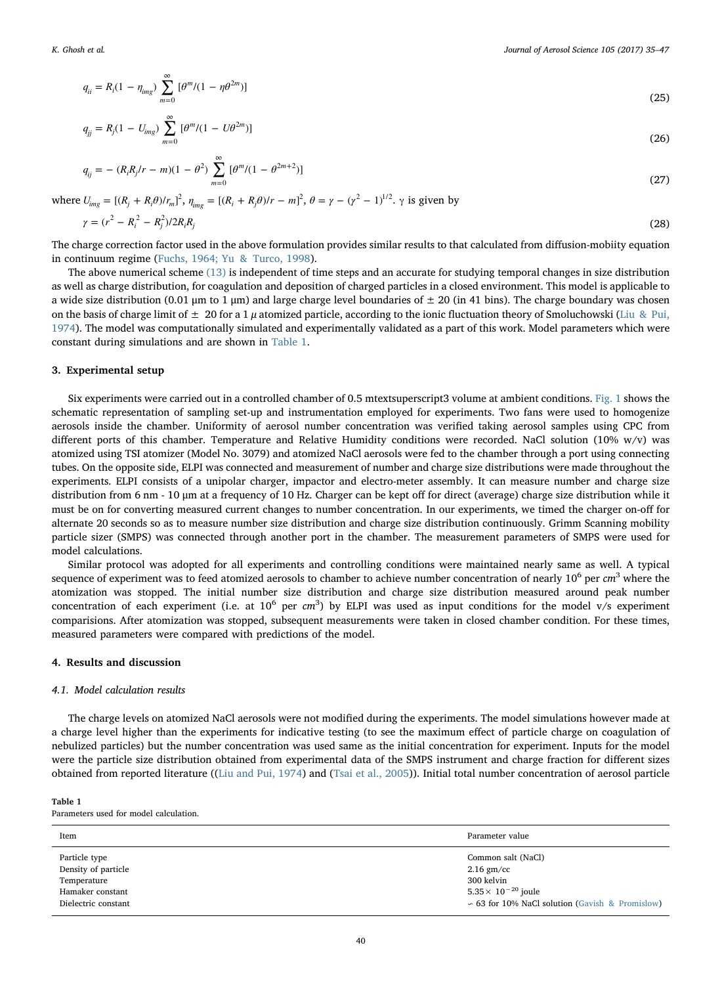$$
q_{ii} = R_i (1 - \eta_{img}) \sum_{m=0}^{\infty} [\theta^m / (1 - \eta \theta^{2m})]
$$
\n(25)

$$
q_{jj} = R_j (1 - U_{img}) \sum_{m=0}^{\infty} [\theta^m / (1 - U\theta^{2m})]
$$
\n(26)

$$
q_{ij} = - (R_i R_j / r - m)(1 - \theta^2) \sum_{m=0}^{\infty} [\theta^m / (1 - \theta^{2m+2})]
$$
\n(27)

where  $U_{img} = [(R_j + R_i \theta)/r_m]^2$ ,  $\eta_{img} = [(R_i + R_j \theta)/r - m]^2$ ,  $\theta = \gamma - (\gamma^2 - 1)^{1/2}$ .  $\gamma$  is given by

$$
\gamma = (r^2 - R_i^2 - R_j^2)/2R_iR_j
$$
\n(28)

The charge correction factor used in the above formulation provides similar results to that calculated from diffusion-mobiity equation in continuum regime (Fuchs, 1964; Yu & Turco, 1998).

The above numerical scheme (13) is independent of time steps and an accurate for studying temporal changes in size distribution as well as charge distribution, for coagulation and deposition of charged particles in a closed environment. This model is applicable to a wide size distribution (0.01 μm to 1 μm) and large charge level boundaries of  $\pm$  20 (in 41 bins). The charge boundary was chosen on the basis of charge limit of  $\pm 20$  for a 1  $\mu$  atomized particle, according to the ionic fluctuation theory of Smoluchowski (Liu & Pui, 1974). The model was computationally simulated and experimentally validated as a part of this work. Model parameters which were constant during simulations and are shown in Table 1.

#### 3. Experimental setup

Six experiments were carried out in a controlled chamber of 0.5 mtextsuperscript3 volume at ambient conditions. Fig. 1 shows the schematic representation of sampling set-up and instrumentation employed for experiments. Two fans were used to homogenize aerosols inside the chamber. Uniformity of aerosol number concentration was verified taking aerosol samples using CPC from different ports of this chamber. Temperature and Relative Humidity conditions were recorded. NaCl solution (10% w/v) was atomized using TSI atomizer (Model No. 3079) and atomized NaCl aerosols were fed to the chamber through a port using connecting tubes. On the opposite side, ELPI was connected and measurement of number and charge size distributions were made throughout the experiments. ELPI consists of a unipolar charger, impactor and electro-meter assembly. It can measure number and charge size distribution from 6 nm - 10 μm at a frequency of 10 Hz. Charger can be kept off for direct (average) charge size distribution while it must be on for converting measured current changes to number concentration. In our experiments, we timed the charger on-off for alternate 20 seconds so as to measure number size distribution and charge size distribution continuously. Grimm Scanning mobility particle sizer (SMPS) was connected through another port in the chamber. The measurement parameters of SMPS were used for model calculations.

Similar protocol was adopted for all experiments and controlling conditions were maintained nearly same as well. A typical sequence of experiment was to feed atomized aerosols to chamber to achieve number concentration of nearly  $10^6$  per  $cm^3$  where the atomization was stopped. The initial number size distribution and charge size distribution measured around peak number concentration of each experiment (i.e. at  $10^6$  per  $cm^3$ ) by ELPI was used as input conditions for the model v/s experiment comparisions. After atomization was stopped, subsequent measurements were taken in closed chamber condition. For these times, measured parameters were compared with predictions of the model.

#### 4. Results and discussion

# 4.1. Model calculation results

The charge levels on atomized NaCl aerosols were not modified during the experiments. The model simulations however made at a charge level higher than the experiments for indicative testing (to see the maximum effect of particle charge on coagulation of nebulized particles) but the number concentration was used same as the initial concentration for experiment. Inputs for the model were the particle size distribution obtained from experimental data of the SMPS instrument and charge fraction for different sizes obtained from reported literature ((Liu and Pui, 1974) and (Tsai et al., 2005)). Initial total number concentration of aerosol particle

#### Table 1

Parameters used for model calculation.

| Item                | Parameter value                                      |
|---------------------|------------------------------------------------------|
| Particle type       | Common salt (NaCl)                                   |
| Density of particle | $2.16$ gm/cc                                         |
| Temperature         | 300 kelvin                                           |
| Hamaker constant    | $5.35 \times 10^{-20}$ joule                         |
| Dielectric constant | $\sim$ 63 for 10% NaCl solution (Gavish & Promislow) |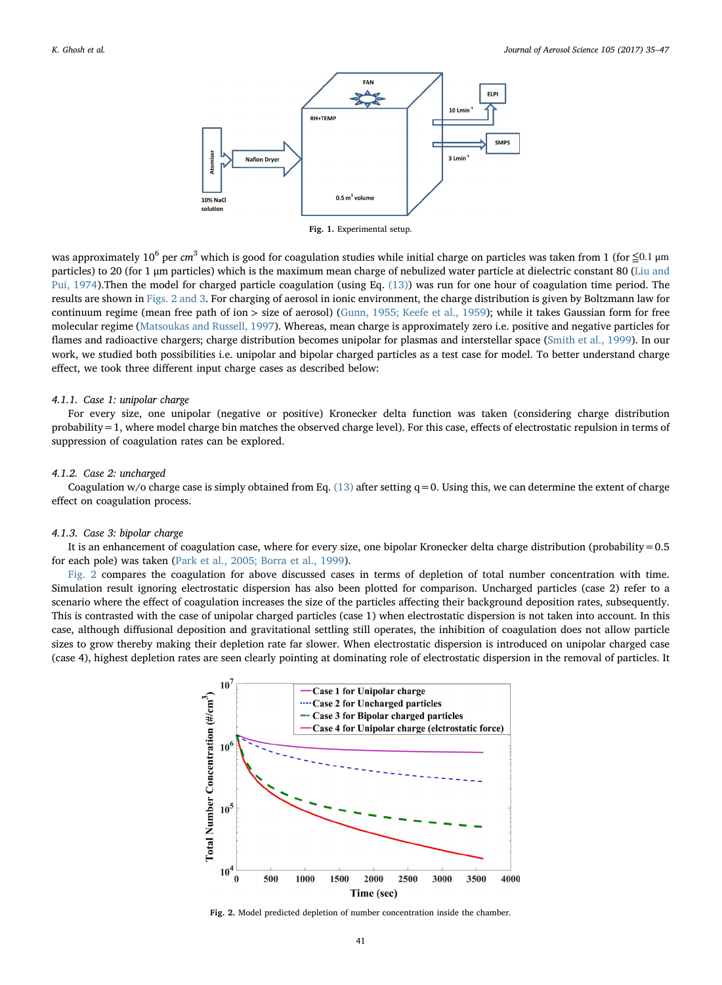

Fig. 1. Experimental setup.

was approximately 10<sup>6</sup> per cm<sup>3</sup> which is good for coagulation studies while initial charge on particles was taken from 1 (for ≤0.1 µm particles) to 20 (for 1 μm particles) which is the maximum mean charge of nebulized water particle at dielectric constant 80 (Liu and Pui, 1974).Then the model for charged particle coagulation (using Eq. (13)) was run for one hour of coagulation time period. The results are shown in Figs. 2 and 3. For charging of aerosol in ionic environment, the charge distribution is given by Boltzmann law for continuum regime (mean free path of ion > size of aerosol) (Gunn, 1955; Keefe et al., 1959); while it takes Gaussian form for free molecular regime (Matsoukas and Russell, 1997). Whereas, mean charge is approximately zero i.e. positive and negative particles for flames and radioactive chargers; charge distribution becomes unipolar for plasmas and interstellar space (Smith et al., 1999). In our work, we studied both possibilities i.e. unipolar and bipolar charged particles as a test case for model. To better understand charge effect, we took three different input charge cases as described below:

#### 4.1.1. Case 1: unipolar charge

For every size, one unipolar (negative or positive) Kronecker delta function was taken (considering charge distribution probability=1, where model charge bin matches the observed charge level). For this case, effects of electrostatic repulsion in terms of suppression of coagulation rates can be explored.

### 4.1.2. Case 2: uncharged

Coagulation w/o charge case is simply obtained from Eq.  $(13)$  after setting q = 0. Using this, we can determine the extent of charge effect on coagulation process.

# 4.1.3. Case 3: bipolar charge

It is an enhancement of coagulation case, where for every size, one bipolar Kronecker delta charge distribution (probability=0.5 for each pole) was taken (Park et al., 2005; Borra et al., 1999).

Fig. 2 compares the coagulation for above discussed cases in terms of depletion of total number concentration with time. Simulation result ignoring electrostatic dispersion has also been plotted for comparison. Uncharged particles (case 2) refer to a scenario where the effect of coagulation increases the size of the particles affecting their background deposition rates, subsequently. This is contrasted with the case of unipolar charged particles (case 1) when electrostatic dispersion is not taken into account. In this case, although diffusional deposition and gravitational settling still operates, the inhibition of coagulation does not allow particle sizes to grow thereby making their depletion rate far slower. When electrostatic dispersion is introduced on unipolar charged case (case 4), highest depletion rates are seen clearly pointing at dominating role of electrostatic dispersion in the removal of particles. It



Fig. 2. Model predicted depletion of number concentration inside the chamber.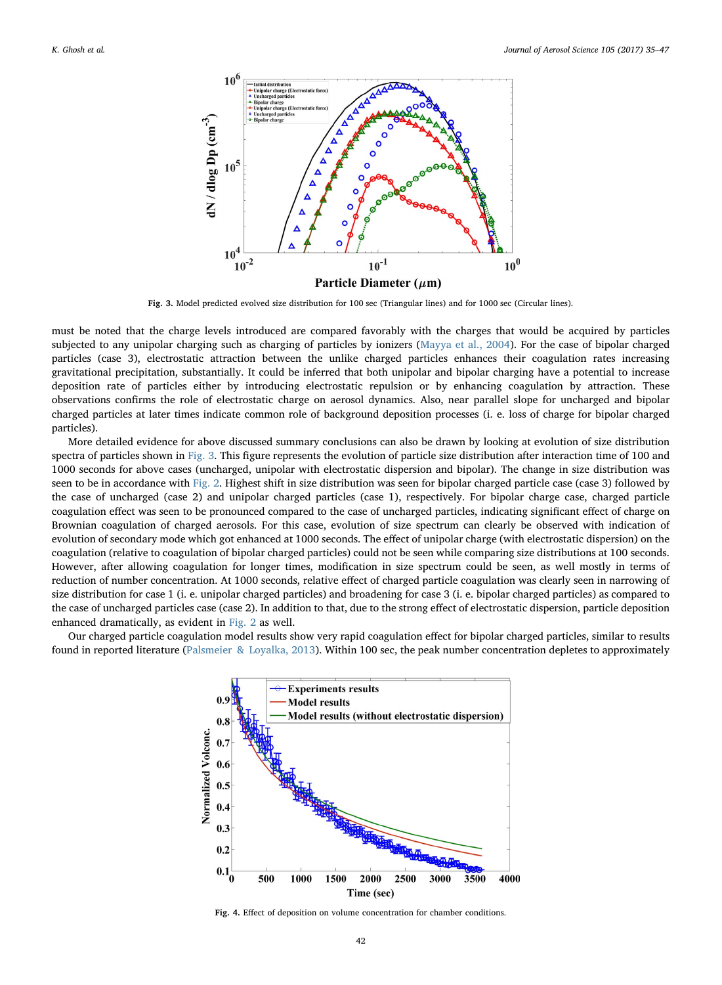

Fig. 3. Model predicted evolved size distribution for 100 sec (Triangular lines) and for 1000 sec (Circular lines).

must be noted that the charge levels introduced are compared favorably with the charges that would be acquired by particles subjected to any unipolar charging such as charging of particles by ionizers (Mayya et al., 2004). For the case of bipolar charged particles (case 3), electrostatic attraction between the unlike charged particles enhances their coagulation rates increasing gravitational precipitation, substantially. It could be inferred that both unipolar and bipolar charging have a potential to increase deposition rate of particles either by introducing electrostatic repulsion or by enhancing coagulation by attraction. These observations confirms the role of electrostatic charge on aerosol dynamics. Also, near parallel slope for uncharged and bipolar charged particles at later times indicate common role of background deposition processes (i. e. loss of charge for bipolar charged particles).

More detailed evidence for above discussed summary conclusions can also be drawn by looking at evolution of size distribution spectra of particles shown in Fig. 3. This figure represents the evolution of particle size distribution after interaction time of 100 and 1000 seconds for above cases (uncharged, unipolar with electrostatic dispersion and bipolar). The change in size distribution was seen to be in accordance with Fig. 2. Highest shift in size distribution was seen for bipolar charged particle case (case 3) followed by the case of uncharged (case 2) and unipolar charged particles (case 1), respectively. For bipolar charge case, charged particle coagulation effect was seen to be pronounced compared to the case of uncharged particles, indicating significant effect of charge on Brownian coagulation of charged aerosols. For this case, evolution of size spectrum can clearly be observed with indication of evolution of secondary mode which got enhanced at 1000 seconds. The effect of unipolar charge (with electrostatic dispersion) on the coagulation (relative to coagulation of bipolar charged particles) could not be seen while comparing size distributions at 100 seconds. However, after allowing coagulation for longer times, modification in size spectrum could be seen, as well mostly in terms of reduction of number concentration. At 1000 seconds, relative effect of charged particle coagulation was clearly seen in narrowing of size distribution for case 1 (i. e. unipolar charged particles) and broadening for case 3 (i. e. bipolar charged particles) as compared to the case of uncharged particles case (case 2). In addition to that, due to the strong effect of electrostatic dispersion, particle deposition enhanced dramatically, as evident in Fig. 2 as well.

Our charged particle coagulation model results show very rapid coagulation effect for bipolar charged particles, similar to results found in reported literature (Palsmeier & Loyalka, 2013). Within 100 sec, the peak number concentration depletes to approximately



Fig. 4. Effect of deposition on volume concentration for chamber conditions.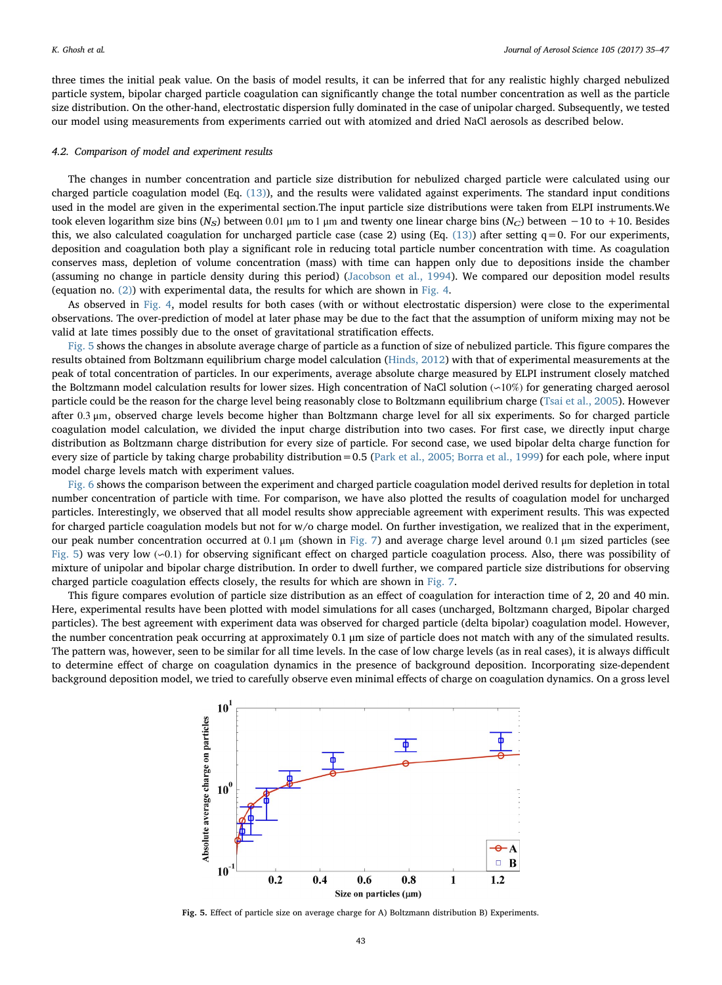three times the initial peak value. On the basis of model results, it can be inferred that for any realistic highly charged nebulized particle system, bipolar charged particle coagulation can significantly change the total number concentration as well as the particle size distribution. On the other-hand, electrostatic dispersion fully dominated in the case of unipolar charged. Subsequently, we tested our model using measurements from experiments carried out with atomized and dried NaCl aerosols as described below.

# 4.2. Comparison of model and experiment results

The changes in number concentration and particle size distribution for nebulized charged particle were calculated using our charged particle coagulation model (Eq. (13)), and the results were validated against experiments. The standard input conditions used in the model are given in the experimental section.The input particle size distributions were taken from ELPI instruments.We took eleven logarithm size bins (N<sub>S</sub>) between 0.01 μm to 1 μm and twenty one linear charge bins (N<sub>C</sub>) between −10 to +10. Besides this, we also calculated coagulation for uncharged particle case (case 2) using (Eq. (13)) after setting  $q=0$ . For our experiments, deposition and coagulation both play a significant role in reducing total particle number concentration with time. As coagulation conserves mass, depletion of volume concentration (mass) with time can happen only due to depositions inside the chamber (assuming no change in particle density during this period) (Jacobson et al., 1994). We compared our deposition model results (equation no. (2)) with experimental data, the results for which are shown in Fig. 4.

As observed in Fig. 4, model results for both cases (with or without electrostatic dispersion) were close to the experimental observations. The over-prediction of model at later phase may be due to the fact that the assumption of uniform mixing may not be valid at late times possibly due to the onset of gravitational stratification effects.

Fig. 5 shows the changes in absolute average charge of particle as a function of size of nebulized particle. This figure compares the results obtained from Boltzmann equilibrium charge model calculation (Hinds, 2012) with that of experimental measurements at the peak of total concentration of particles. In our experiments, average absolute charge measured by ELPI instrument closely matched the Boltzmann model calculation results for lower sizes. High concentration of NaCl solution (∽10%) for generating charged aerosol particle could be the reason for the charge level being reasonably close to Boltzmann equilibrium charge (Tsai et al., 2005). However after 0.3 μm, observed charge levels become higher than Boltzmann charge level for all six experiments. So for charged particle coagulation model calculation, we divided the input charge distribution into two cases. For first case, we directly input charge distribution as Boltzmann charge distribution for every size of particle. For second case, we used bipolar delta charge function for every size of particle by taking charge probability distribution=0.5 (Park et al., 2005; Borra et al., 1999) for each pole, where input model charge levels match with experiment values.

Fig. 6 shows the comparison between the experiment and charged particle coagulation model derived results for depletion in total number concentration of particle with time. For comparison, we have also plotted the results of coagulation model for uncharged particles. Interestingly, we observed that all model results show appreciable agreement with experiment results. This was expected for charged particle coagulation models but not for w/o charge model. On further investigation, we realized that in the experiment, our peak number concentration occurred at 0.1 μm (shown in Fig. 7) and average charge level around 0.1 μm sized particles (see Fig. 5) was very low (∽0.1) for observing significant effect on charged particle coagulation process. Also, there was possibility of mixture of unipolar and bipolar charge distribution. In order to dwell further, we compared particle size distributions for observing charged particle coagulation effects closely, the results for which are shown in Fig. 7.

This figure compares evolution of particle size distribution as an effect of coagulation for interaction time of 2, 20 and 40 min. Here, experimental results have been plotted with model simulations for all cases (uncharged, Boltzmann charged, Bipolar charged particles). The best agreement with experiment data was observed for charged particle (delta bipolar) coagulation model. However, the number concentration peak occurring at approximately 0.1 μm size of particle does not match with any of the simulated results. The pattern was, however, seen to be similar for all time levels. In the case of low charge levels (as in real cases), it is always difficult to determine effect of charge on coagulation dynamics in the presence of background deposition. Incorporating size-dependent background deposition model, we tried to carefully observe even minimal effects of charge on coagulation dynamics. On a gross level



Fig. 5. Effect of particle size on average charge for A) Boltzmann distribution B) Experiments.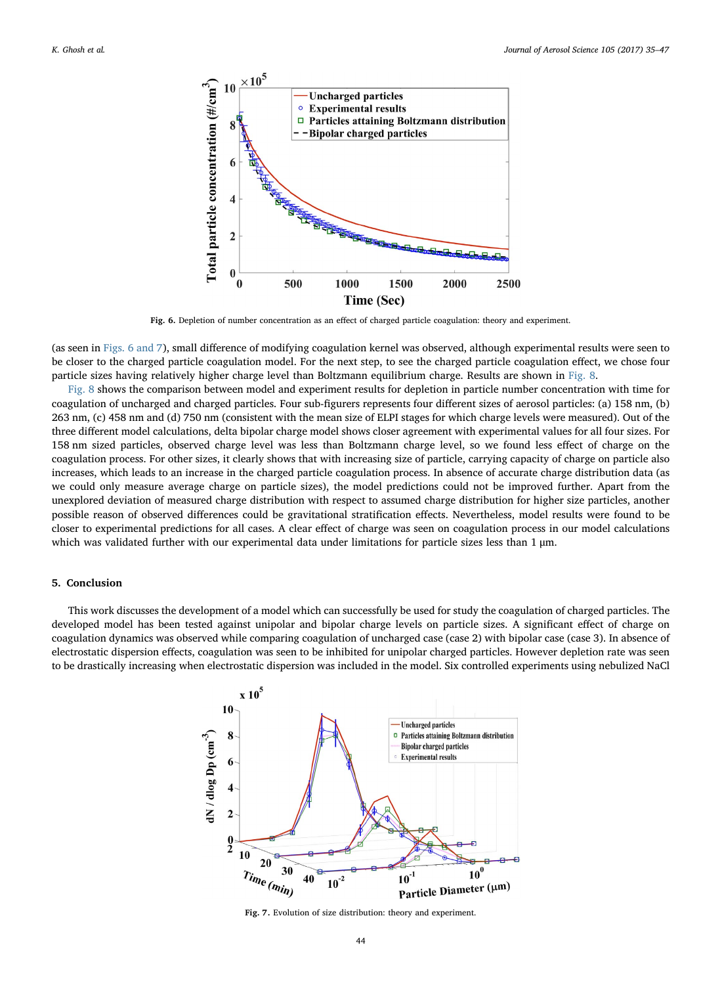

Fig. 6. Depletion of number concentration as an effect of charged particle coagulation: theory and experiment.

(as seen in Figs. 6 and 7), small difference of modifying coagulation kernel was observed, although experimental results were seen to be closer to the charged particle coagulation model. For the next step, to see the charged particle coagulation effect, we chose four particle sizes having relatively higher charge level than Boltzmann equilibrium charge. Results are shown in Fig. 8.

Fig. 8 shows the comparison between model and experiment results for depletion in particle number concentration with time for coagulation of uncharged and charged particles. Four sub-figurers represents four different sizes of aerosol particles: (a) 158 nm, (b) 263 nm, (c) 458 nm and (d) 750 nm (consistent with the mean size of ELPI stages for which charge levels were measured). Out of the three different model calculations, delta bipolar charge model shows closer agreement with experimental values for all four sizes. For 158 nm sized particles, observed charge level was less than Boltzmann charge level, so we found less effect of charge on the coagulation process. For other sizes, it clearly shows that with increasing size of particle, carrying capacity of charge on particle also increases, which leads to an increase in the charged particle coagulation process. In absence of accurate charge distribution data (as we could only measure average charge on particle sizes), the model predictions could not be improved further. Apart from the unexplored deviation of measured charge distribution with respect to assumed charge distribution for higher size particles, another possible reason of observed differences could be gravitational stratification effects. Nevertheless, model results were found to be closer to experimental predictions for all cases. A clear effect of charge was seen on coagulation process in our model calculations which was validated further with our experimental data under limitations for particle sizes less than 1 μm.

# 5. Conclusion

This work discusses the development of a model which can successfully be used for study the coagulation of charged particles. The developed model has been tested against unipolar and bipolar charge levels on particle sizes. A significant effect of charge on coagulation dynamics was observed while comparing coagulation of uncharged case (case 2) with bipolar case (case 3). In absence of electrostatic dispersion effects, coagulation was seen to be inhibited for unipolar charged particles. However depletion rate was seen to be drastically increasing when electrostatic dispersion was included in the model. Six controlled experiments using nebulized NaCl



Fig. 7. Evolution of size distribution: theory and experiment.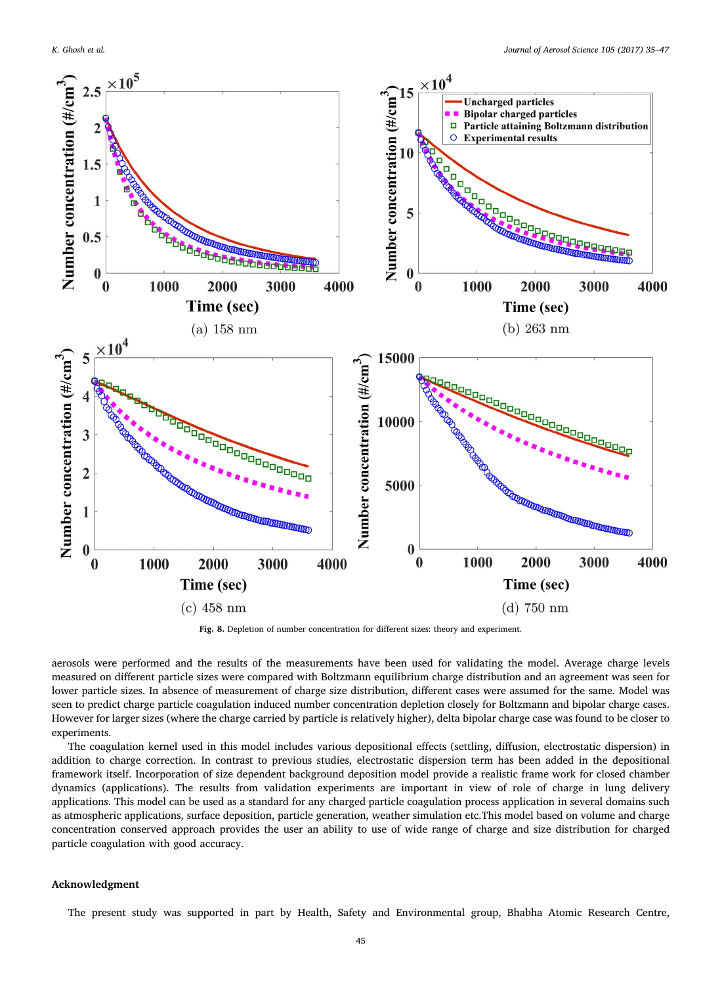

Fig. 8. Depletion of number concentration for different sizes: theory and experiment.

aerosols were performed and the results of the measurements have been used for validating the model. Average charge levels measured on different particle sizes were compared with Boltzmann equilibrium charge distribution and an agreement was seen for lower particle sizes. In absence of measurement of charge size distribution, different cases were assumed for the same. Model was seen to predict charge particle coagulation induced number concentration depletion closely for Boltzmann and bipolar charge cases. However for larger sizes (where the charge carried by particle is relatively higher), delta bipolar charge case was found to be closer to experiments.

The coagulation kernel used in this model includes various depositional effects (settling, diffusion, electrostatic dispersion) in addition to charge correction. In contrast to previous studies, electrostatic dispersion term has been added in the depositional framework itself. Incorporation of size dependent background deposition model provide a realistic frame work for closed chamber dynamics (applications). The results from validation experiments are important in view of role of charge in lung delivery applications. This model can be used as a standard for any charged particle coagulation process application in several domains such as atmospheric applications, surface deposition, particle generation, weather simulation etc.This model based on volume and charge concentration conserved approach provides the user an ability to use of wide range of charge and size distribution for charged particle coagulation with good accuracy.

#### Acknowledgment

The present study was supported in part by Health, Safety and Environmental group, Bhabha Atomic Research Centre,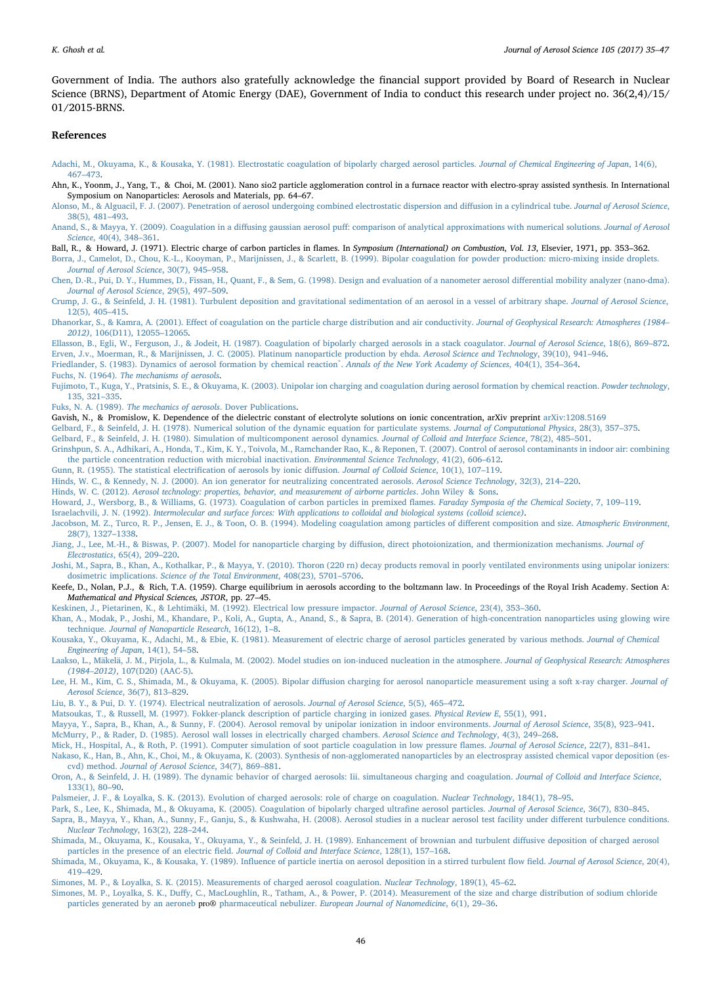Government of India. The authors also gratefully acknowledge the financial support provided by Board of Research in Nuclear Science (BRNS), Department of Atomic Energy (DAE), Government of India to conduct this research under project no. 36(2,4)/15/ 01/2015-BRNS.

#### References

- Adachi, M., Okuyama, K., & Kousaka, Y. (1981). Electrostatic coagulation of bipolarly charged aerosol particles. Journal of Chemical Engineering of Japan, 14(6), 467–473.
- Ahn, K., Yoonm, J., Yang, T., & Choi, M. (2001). Nano sio2 particle agglomeration control in a furnace reactor with electro-spray assisted synthesis. In International Symposium on Nanoparticles: Aerosols and Materials, pp. 64–67.
- Alonso, M., & Alguacil, F. J. (2007). Penetration of aerosol undergoing combined electrostatic dispersion and diffusion in a cylindrical tube. Journal of Aerosol Science, 38(5), 481–493.
- Anand, S., & Mayya, Y. (2009). Coagulation in a diffusing gaussian aerosol puff: comparison of analytical approximations with numerical solutions. Journal of Aerosol Science, 40(4), 348–361.
- Ball, R., & Howard, J. (1971). Electric charge of carbon particles in flames. In Symposium (International) on Combustion, Vol. 13, Elsevier, 1971, pp. 353-362.
- Borra, J., Camelot, D., Chou, K.-L., Kooyman, P., Marijnissen, J., & Scarlett, B. (1999). Bipolar coagulation for powder production: micro-mixing inside droplets. Journal of Aerosol Science, 30(7), 945–958.
- Chen, D.-R., Pui, D. Y., Hummes, D., Fissan, H., Quant, F., & Sem, G. (1998). Design and evaluation of a nanometer aerosol differential mobility analyzer (nano-dma). Journal of Aerosol Science, 29(5), 497–509.
- Crump, J. G., & Seinfeld, J. H. (1981). Turbulent deposition and gravitational sedimentation of an aerosol in a vessel of arbitrary shape. Journal of Aerosol Science, 12(5), 405–415.
- Dhanorkar, S., & Kamra, A. (2001). Effect of coagulation on the particle charge distribution and air conductivity. Journal of Geophysical Research: Atmospheres (1984– 2012), 106(D11), 12055–12065.
- Ellasson, B., Egli, W., Ferguson, J., & Jodeit, H. (1987). Coagulation of bipolarly charged aerosols in a stack coagulator. Journal of Aerosol Science, 18(6), 869–872. Erven, J.v., Moerman, R., & Marijnissen, J. C. (2005). Platinum nanoparticle production by ehda. Aerosol Science and Technology, 39(10), 941–946.
- Friedlander, S. (1983). Dynamics of aerosol formation by chemical reaction<sup>\*</sup>. Annals of the New York Academy of Sciences, 404(1), 354-364.
- Fuchs, N. (1964). The mechanisms of aerosols.
- Fujimoto, T., Kuga, Y., Pratsinis, S. E., & Okuyama, K. (2003). Unipolar ion charging and coagulation during aerosol formation by chemical reaction. Powder technology, 135, 321–335.
- Fuks, N. A. (1989). The mechanics of aerosols. Dover Publications.
- Gavish, N., & Promislow, K. Dependence of the dielectric constant of electrolyte solutions on ionic concentration, arXiv preprint arXiv:1208.5169
- Gelbard, F., & Seinfeld, J. H. (1978). Numerical solution of the dynamic equation for particulate systems. Journal of Computational Physics, 28(3), 357–375. Gelbard, F., & Seinfeld, J. H. (1980). Simulation of multicomponent aerosol dynamics. Journal of Colloid and Interface Science, 78(2), 485–501.
- Grinshpun, S. A., Adhikari, A., Honda, T., Kim, K. Y., Toivola, M., Ramchander Rao, K., & Reponen, T. (2007). Control of aerosol contaminants in indoor air: combining the particle concentration reduction with microbial inactivation. Environmental Science Technology, 41(2), 606–612.
- Gunn, R. (1955). The statistical electrification of aerosols by ionic diffusion. Journal of Colloid Science, 10(1), 107–119.
- Hinds, W. C., & Kennedy, N. J. (2000). An ion generator for neutralizing concentrated aerosols. Aerosol Science Technology, 32(3), 214–220.
- Hinds, W. C. (2012). Aerosol technology: properties, behavior, and measurement of airborne particles. John Wiley & Sons.
- Howard, J., Wersborg, B., & Williams, G. (1973). Coagulation of carbon particles in premixed flames. Faraday Symposia of the Chemical Society, 7, 109–119.
- Israelachvili, J. N. (1992). Intermolecular and surface forces: With applications to colloidal and biological systems (colloid science).
- Jacobson, M. Z., Turco, R. P., Jensen, E. J., & Toon, O. B. (1994). Modeling coagulation among particles of different composition and size. Atmospheric Environment, 28(7), 1327–1338.
- Jiang, J., Lee, M.-H., & Biswas, P. (2007). Model for nanoparticle charging by diffusion, direct photoionization, and thermionization mechanisms. Journal of Electrostatics, 65(4), 209–220.
- Joshi, M., Sapra, B., Khan, A., Kothalkar, P., & Mayya, Y. (2010). Thoron (220 rn) decay products removal in poorly ventilated environments using unipolar ionizers: dosimetric implications. Science of the Total Environment, 408(23), 5701–5706.
- Keefe, D., Nolan, P.J., & Rich, T.A. (1959). Charge equilibrium in aerosols according to the boltzmann law. In Proceedings of the Royal Irish Academy. Section A: Mathematical and Physical Sciences, JSTOR, pp. 27–45.
- Keskinen, J., Pietarinen, K., & Lehtimäki, M. (1992). Electrical low pressure impactor. Journal of Aerosol Science, 23(4), 353–360.
- Khan, A., Modak, P., Joshi, M., Khandare, P., Koli, A., Gupta, A., Anand, S., & Sapra, B. (2014). Generation of high-concentration nanoparticles using glowing wire technique. Journal of Nanoparticle Research, 16(12), 1–8.
- Kousaka, Y., Okuyama, K., Adachi, M., & Ebie, K. (1981). Measurement of electric charge of aerosol particles generated by various methods. Journal of Chemical Engineering of Japan, 14(1), 54–58.
- Laakso, L., Mäkelä, J. M., Pirjola, L., & Kulmala, M. (2002). Model studies on ion-induced nucleation in the atmosphere. Journal of Geophysical Research: Atmospheres (1984–2012), 107(D20) (AAC-5).
- Lee, H. M., Kim, C. S., Shimada, M., & Okuyama, K. (2005). Bipolar diffusion charging for aerosol nanoparticle measurement using a soft x-ray charger. Journal of Aerosol Science, 36(7), 813–829.
- Liu, B. Y., & Pui, D. Y. (1974). Electrical neutralization of aerosols. Journal of Aerosol Science, 5(5), 465–472.
- Matsoukas, T., & Russell, M. (1997). Fokker-planck description of particle charging in ionized gases. Physical Review E, 55(1), 991.
- Mayya, Y., Sapra, B., Khan, A., & Sunny, F. (2004). Aerosol removal by unipolar ionization in indoor environments. Journal of Aerosol Science, 35(8), 923–941.
- McMurry, P., & Rader, D. (1985). Aerosol wall losses in electrically charged chambers. Aerosol Science and Technology, 4(3), 249–268.
- Mick, H., Hospital, A., & Roth, P. (1991). Computer simulation of soot particle coagulation in low pressure flames. Journal of Aerosol Science, 22(7), 831-841.
- Nakaso, K., Han, B., Ahn, K., Choi, M., & Okuyama, K. (2003). Synthesis of non-agglomerated nanoparticles by an electrospray assisted chemical vapor deposition (escvd) method. Journal of Aerosol Science, 34(7), 869–881.
- Oron, A., & Seinfeld, J. H. (1989). The dynamic behavior of charged aerosols: Iii. simultaneous charging and coagulation. Journal of Colloid and Interface Science, 133(1), 80–90.
- Palsmeier, J. F., & Loyalka, S. K. (2013). Evolution of charged aerosols: role of charge on coagulation. Nuclear Technology, 184(1), 78–95.
- Park, S., Lee, K., Shimada, M., & Okuyama, K. (2005). Coagulation of bipolarly charged ultrafine aerosol particles. Journal of Aerosol Science, 36(7), 830–845. Sapra, B., Mayya, Y., Khan, A., Sunny, F., Ganju, S., & Kushwaha, H. (2008). Aerosol studies in a nuclear aerosol test facility under different turbulence conditions. Nuclear Technology, 163(2), 228–244.
- Shimada, M., Okuyama, K., Kousaka, Y., Okuyama, Y., & Seinfeld, J. H. (1989). Enhancement of brownian and turbulent diffusive deposition of charged aerosol particles in the presence of an electric field. Journal of Colloid and Interface Science, 128(1), 157–168.
- Shimada, M., Okuyama, K., & Kousaka, Y. (1989). Influence of particle inertia on aerosol deposition in a stirred turbulent flow field. Journal of Aerosol Science, 20(4), 419–429.
- Simones, M. P., & Loyalka, S. K. (2015). Measurements of charged aerosol coagulation. Nuclear Technology, 189(1), 45–62.
- Simones, M. P., Loyalka, S. K., Duffy, C., MacLoughlin, R., Tatham, A., & Power, P. (2014). Measurement of the size and charge distribution of sodium chloride particles generated by an aeroneb pro® pharmaceutical nebulizer. European Journal of Nanomedicine, 6(1), 29–36.